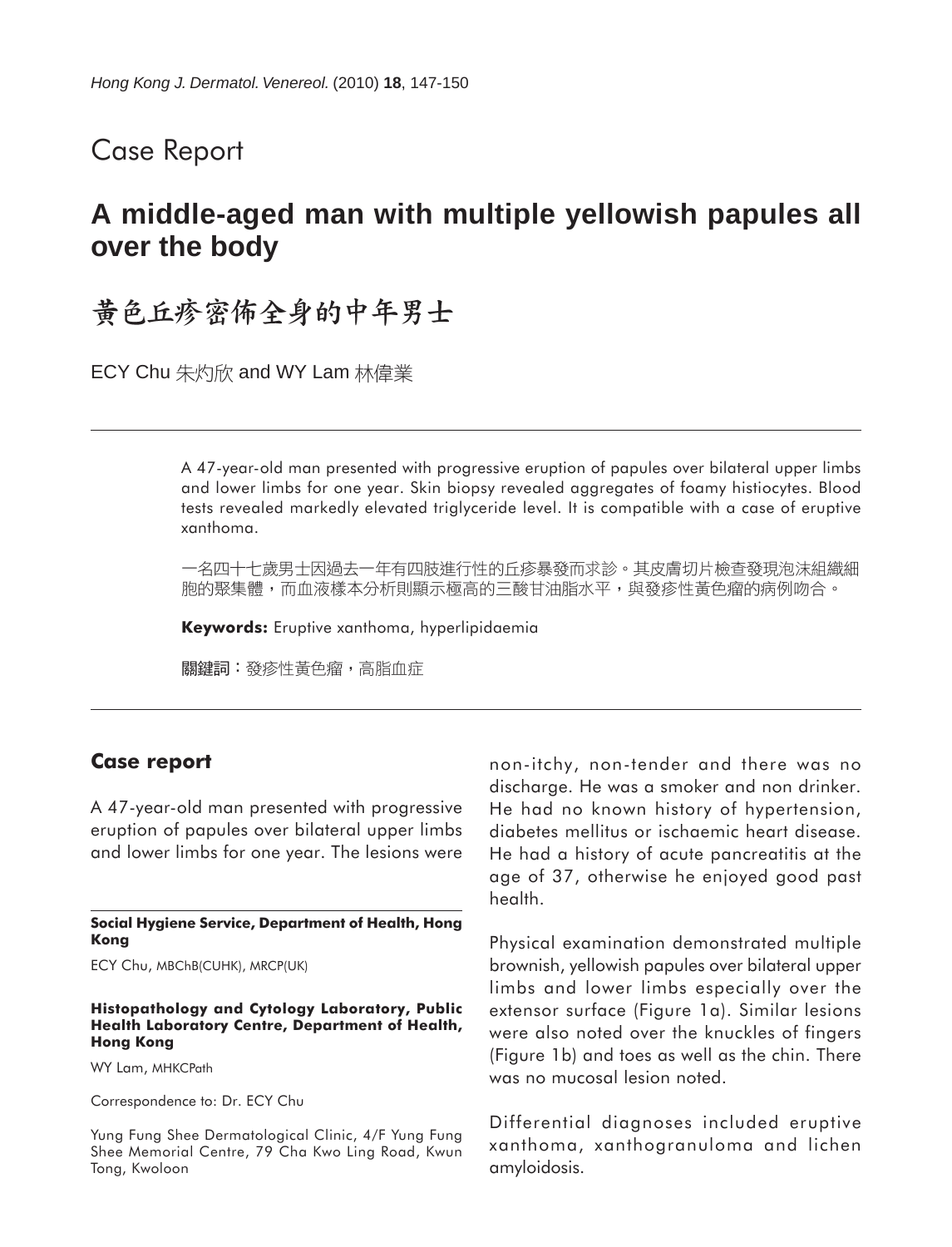### Case Report

## **A middle-aged man with multiple yellowish papules all over the body**

# **盖色丘疹密佈全身的中年男士**

ECY Chu 朱灼欣 and WY Lam 林偉業

A 47-year-old man presented with progressive eruption of papules over bilateral upper limbs and lower limbs for one year. Skin biopsy revealed aggregates of foamy histiocytes. Blood tests revealed markedly elevated triglyceride level. It is compatible with a case of eruptive xanthoma.

一名四十七歲男士因過去一年有四肢進行性的丘疹暴發而求診。其皮膚切片檢查發現泡沫組織細 胞的聚集體,而血液樣本分析則顯示極高的三酸甘油脂水平,與發疹性黃色瘤的病例吻合。

**Keywords:** Eruptive xanthoma, hyperlipidaemia

關鍵詞:發疹性黃色瘤,高脂血症

#### **Case report**

A 47-year-old man presented with progressive eruption of papules over bilateral upper limbs and lower limbs for one year. The lesions were

**Social Hygiene Service, Department of Health, Hong Kong**

ECY Chu, MBChB(CUHK), MRCP(UK)

#### **Histopathology and Cytology Laboratory, Public Health Laboratory Centre, Department of Health, Hong Kong**

WY Lam, MHKCPath

Correspondence to: Dr. ECY Chu

Yung Fung Shee Dermatological Clinic, 4/F Yung Fung Shee Memorial Centre, 79 Cha Kwo Ling Road, Kwun Tong, Kwoloon

non-itchy, non-tender and there was no discharge. He was a smoker and non drinker. He had no known history of hypertension, diabetes mellitus or ischaemic heart disease. He had a history of acute pancreatitis at the age of 37, otherwise he enjoyed good past health.

Physical examination demonstrated multiple brownish, yellowish papules over bilateral upper limbs and lower limbs especially over the extensor surface (Figure 1a). Similar lesions were also noted over the knuckles of fingers (Figure 1b) and toes as well as the chin. There was no mucosal lesion noted.

Differential diagnoses included eruptive xanthoma, xanthogranuloma and lichen amyloidosis.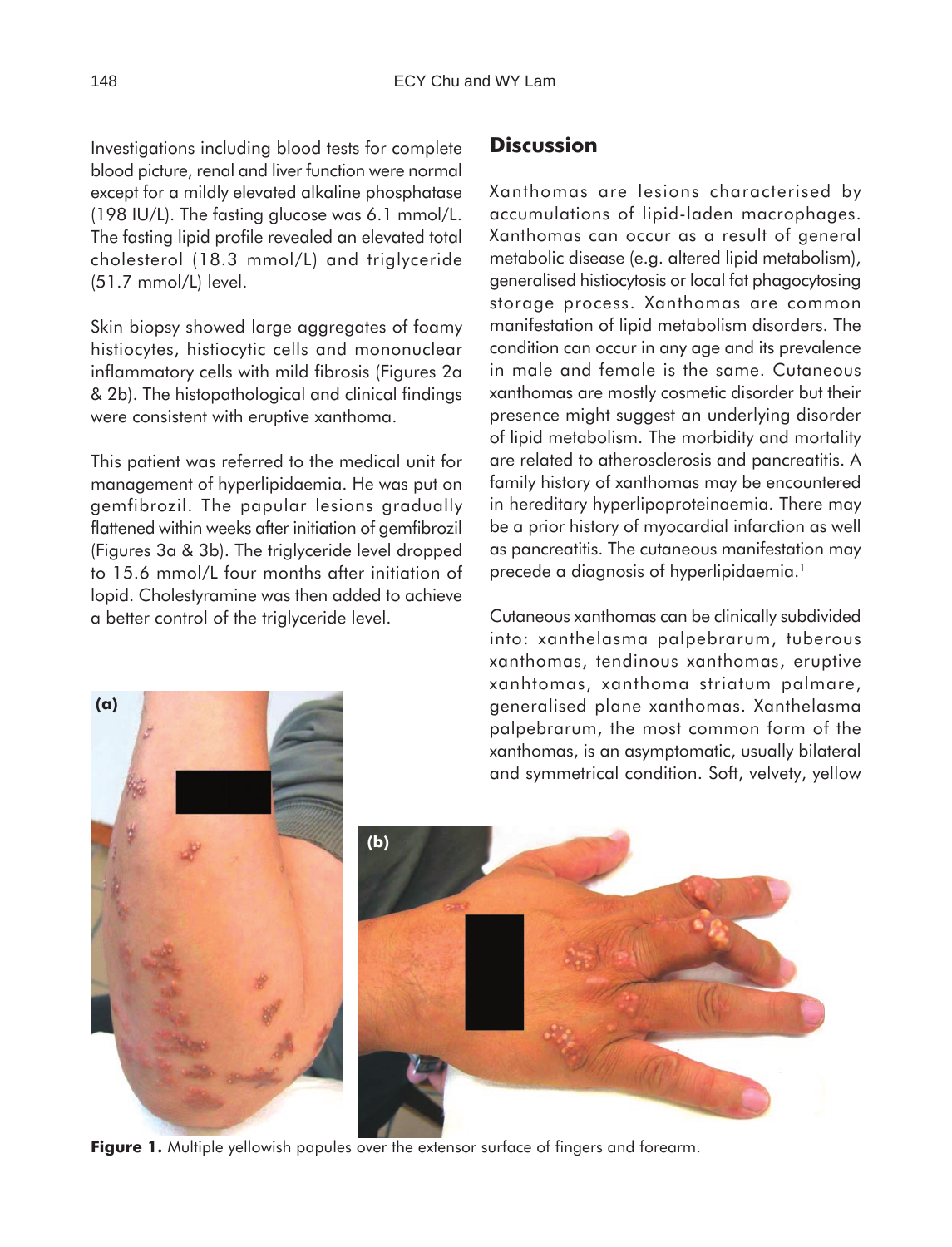Investigations including blood tests for complete blood picture, renal and liver function were normal except for a mildly elevated alkaline phosphatase (198 IU/L). The fasting glucose was 6.1 mmol/L. The fasting lipid profile revealed an elevated total cholesterol (18.3 mmol/L) and triglyceride (51.7 mmol/L) level.

Skin biopsy showed large aggregates of foamy histiocytes, histiocytic cells and mononuclear inflammatory cells with mild fibrosis (Figures 2a & 2b). The histopathological and clinical findings were consistent with eruptive xanthoma.

This patient was referred to the medical unit for management of hyperlipidaemia. He was put on gemfibrozil. The papular lesions gradually flattened within weeks after initiation of gemfibrozil (Figures 3a & 3b). The triglyceride level dropped to 15.6 mmol/L four months after initiation of lopid. Cholestyramine was then added to achieve a better control of the triglyceride level.

### **Discussion**

Xanthomas are lesions characterised by accumulations of lipid-laden macrophages. Xanthomas can occur as a result of general metabolic disease (e.g. altered lipid metabolism), generalised histiocytosis or local fat phagocytosing storage process. Xanthomas are common manifestation of lipid metabolism disorders. The condition can occur in any age and its prevalence in male and female is the same. Cutaneous xanthomas are mostly cosmetic disorder but their presence might suggest an underlying disorder of lipid metabolism. The morbidity and mortality are related to atherosclerosis and pancreatitis. A family history of xanthomas may be encountered in hereditary hyperlipoproteinaemia. There may be a prior history of myocardial infarction as well as pancreatitis. The cutaneous manifestation may precede a diagnosis of hyperlipidaemia.<sup>1</sup>

Cutaneous xanthomas can be clinically subdivided into: xanthelasma palpebrarum, tuberous xanthomas, tendinous xanthomas, eruptive xanhtomas, xanthoma striatum palmare, generalised plane xanthomas. Xanthelasma palpebrarum, the most common form of the xanthomas, is an asymptomatic, usually bilateral and symmetrical condition. Soft, velvety, yellow



**Figure 1.** Multiple yellowish papules over the extensor surface of fingers and forearm.

 **(b)**

 **(a)**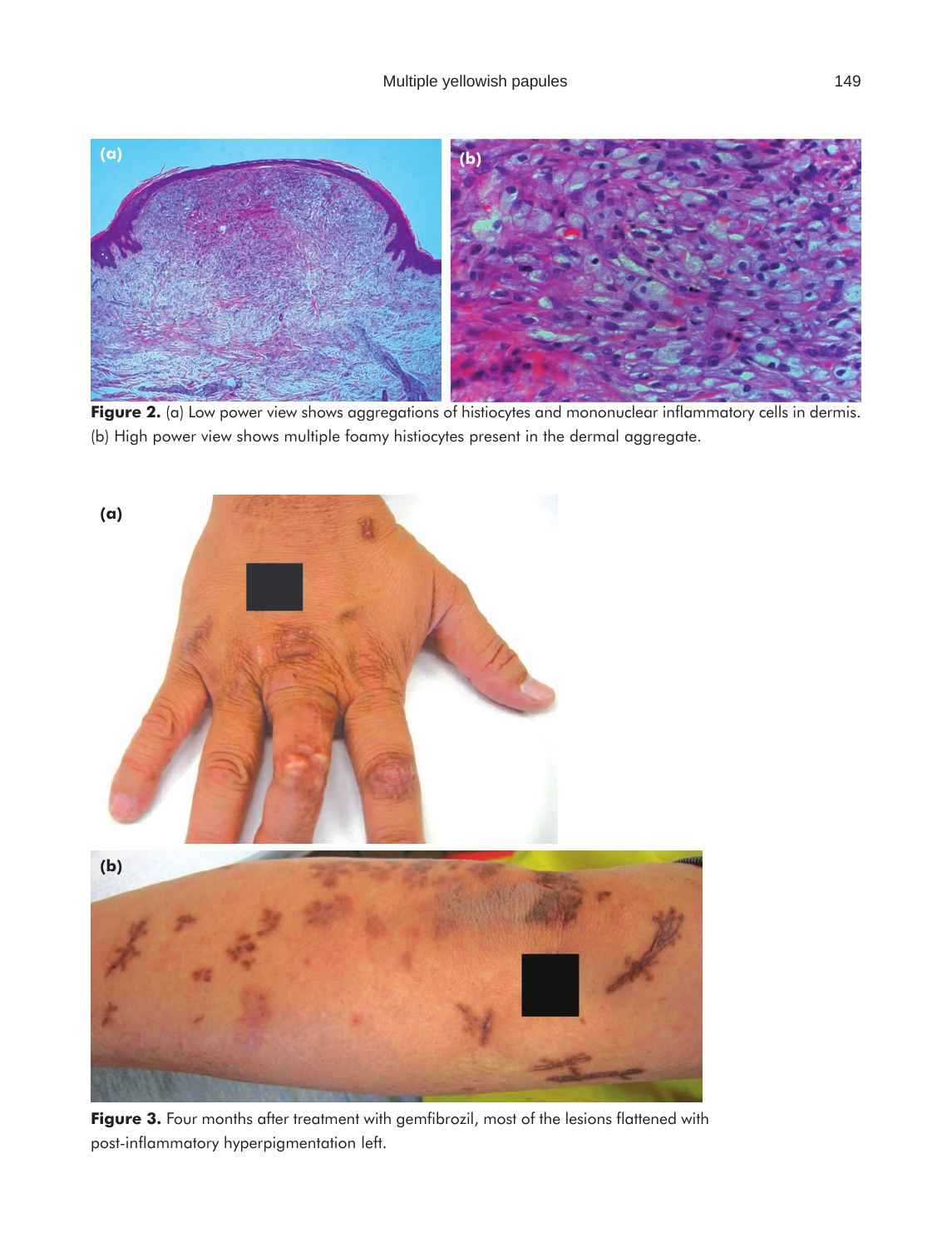

**Figure 2.** (a) Low power view shows aggregations of histiocytes and mononuclear inflammatory cells in dermis. (b) High power view shows multiple foamy histiocytes present in the dermal aggregate.



Figure 3. Four months after treatment with gemfibrozil, most of the lesions flattened with post-inflammatory hyperpigmentation left.